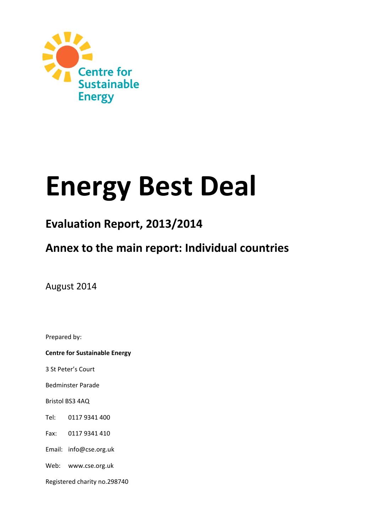

# **Energy Best Deal**

# **Evaluation Report, 2013/2014**

# **Annex to the main report: Individual countries**

August 2014

Prepared by:

**Centre for Sustainable Energy**

3 St Peter's Court

Bedminster Parade

Bristol BS3 4AQ

Tel: 0117 9341 400

Fax: 0117 9341 410

Email: info@cse.org.uk

Web: www.cse.org.uk

Registered charity no.298740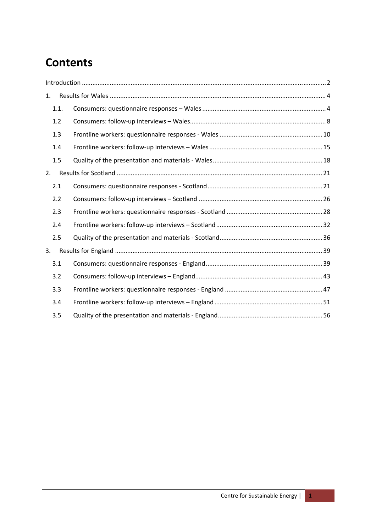# **Contents**

| 1.   |  |
|------|--|
| 1.1. |  |
| 1.2  |  |
| 1.3  |  |
| 1.4  |  |
| 1.5  |  |
| 2.   |  |
| 2.1  |  |
| 2.2  |  |
| 2.3  |  |
| 2.4  |  |
| 2.5  |  |
| 3.   |  |
| 3.1  |  |
| 3.2  |  |
| 3.3  |  |
| 3.4  |  |
| 3.5  |  |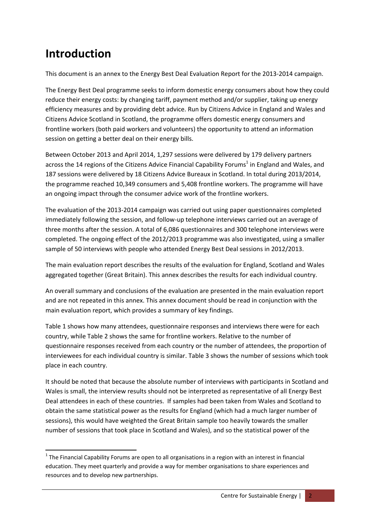# **Introduction**

This document is an annex to the Energy Best Deal Evaluation Report for the 2013‐2014 campaign.

The Energy Best Deal programme seeks to inform domestic energy consumers about how they could reduce their energy costs: by changing tariff, payment method and/or supplier, taking up energy efficiency measures and by providing debt advice. Run by Citizens Advice in England and Wales and Citizens Advice Scotland in Scotland, the programme offers domestic energy consumers and frontline workers (both paid workers and volunteers) the opportunity to attend an information session on getting a better deal on their energy bills.

Between October 2013 and April 2014, 1,297 sessions were delivered by 179 delivery partners across the 14 regions of the Citizens Advice Financial Capability Forums<sup>1</sup> in England and Wales, and 187 sessions were delivered by 18 Citizens Advice Bureaux in Scotland. In total during 2013/2014, the programme reached 10,349 consumers and 5,408 frontline workers. The programme will have an ongoing impact through the consumer advice work of the frontline workers.

The evaluation of the 2013‐2014 campaign was carried out using paper questionnaires completed immediately following the session, and follow‐up telephone interviews carried out an average of three months after the session. A total of 6,086 questionnaires and 300 telephone interviews were completed. The ongoing effect of the 2012/2013 programme was also investigated, using a smaller sample of 50 interviews with people who attended Energy Best Deal sessions in 2012/2013.

The main evaluation report describes the results of the evaluation for England, Scotland and Wales aggregated together (Great Britain). This annex describes the results for each individual country.

An overall summary and conclusions of the evaluation are presented in the main evaluation report and are not repeated in this annex. This annex document should be read in conjunction with the main evaluation report, which provides a summary of key findings.

Table 1 shows how many attendees, questionnaire responses and interviews there were for each country, while Table 2 shows the same for frontline workers. Relative to the number of questionnaire responses received from each country or the number of attendees, the proportion of interviewees for each individual country is similar. Table 3 shows the number of sessions which took place in each country.

It should be noted that because the absolute number of interviews with participants in Scotland and Wales is small, the interview results should not be interpreted as representative of all Energy Best Deal attendees in each of these countries. If samples had been taken from Wales and Scotland to obtain the same statistical power as the results for England (which had a much larger number of sessions), this would have weighted the Great Britain sample too heavily towards the smaller number of sessions that took place in Scotland and Wales), and so the statistical power of the

  $1$  The Financial Capability Forums are open to all organisations in a region with an interest in financial education. They meet quarterly and provide a way for member organisations to share experiences and resources and to develop new partnerships.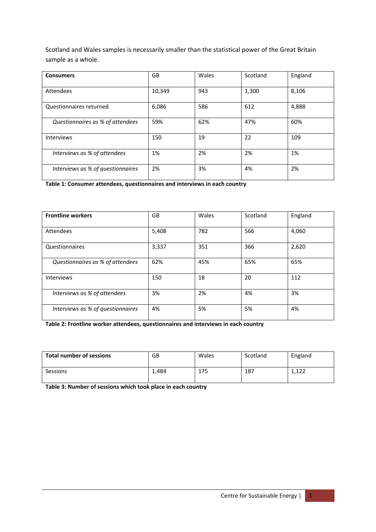Scotland and Wales samples is necessarily smaller than the statistical power of the Great Britain sample as a whole.

| <b>Consumers</b>                  | GB     | Wales | Scotland | England |
|-----------------------------------|--------|-------|----------|---------|
| Attendees                         | 10,349 | 943   | 1,300    | 8,106   |
| Questionnaires returned           | 6,086  | 586   | 612      | 4,888   |
| Questionnaires as % of attendees  | 59%    | 62%   | 47%      | 60%     |
| <b>Interviews</b>                 | 150    | 19    | 22       | 109     |
| Interviews as % of attendees      | 1%     | 2%    | 2%       | 1%      |
| Interviews as % of questionnaires | 2%     | 3%    | 4%       | 2%      |

**Table 1: Consumer attendees, questionnaires and interviews in each country**

| <b>Frontline workers</b>          | GB    | Wales | Scotland | England |
|-----------------------------------|-------|-------|----------|---------|
| Attendees                         | 5,408 | 782   | 566      | 4,060   |
| Questionnaires                    | 3,337 | 351   | 366      | 2,620   |
| Questionnaires as % of attendees  | 62%   | 45%   | 65%      | 65%     |
| <b>Interviews</b>                 | 150   | 18    | 20       | 112     |
| Interviews as % of attendees      | 3%    | 2%    | 4%       | 3%      |
| Interviews as % of questionnaires | 4%    | 5%    | 5%       | 4%      |

**Table 2: Frontline worker attendees, questionnaires and interviews in each country**

| <b>Total number of sessions</b> | GB    | Wales | Scotland | England |
|---------------------------------|-------|-------|----------|---------|
| Sessions                        | 1.484 | 175   | 187      | 1,122   |

**Table 3: Number of sessions which took place in each country**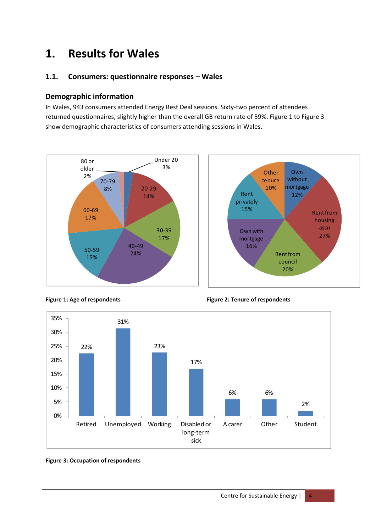# **1. Results for Wales**

#### **1.1. Consumers: questionnaire responses – Wales**

#### **Demographic information**

In Wales, 943 consumers attended Energy Best Deal sessions. Sixty-two percent of attendees returned questionnaires, slightly higher than the overall GB return rate of 59%. Figure 1 to Figure 3 show demographic characteristics of consumers attending sessions in Wales.







**Figure 1: Age of respondents Figure 2: Tenure of respondents**

#### **Figure 3: Occupation of respondents**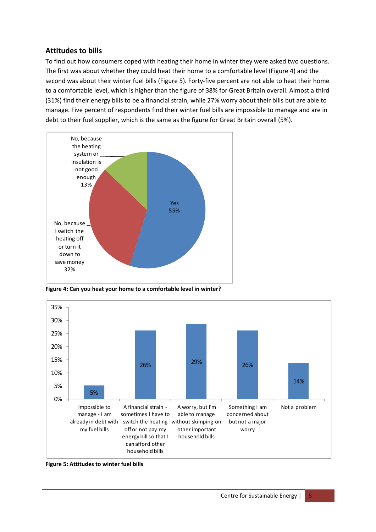# **Attitudes to bills**

To find out how consumers coped with heating their home in winter they were asked two questions. The first was about whether they could heat their home to a comfortable level (Figure 4) and the second was about their winter fuel bills (Figure 5). Forty-five percent are not able to heat their home to a comfortable level, which is higher than the figure of 38% for Great Britain overall. Almost a third (31%) find their energy bills to be a financial strain, while 27% worry about their bills but are able to manage. Five percent of respondents find their winter fuel bills are impossible to manage and are in debt to their fuel supplier, which is the same as the figure for Great Britain overall (5%).



**Figure 4: Can you heat your home to a comfortable level in winter?**



**Figure 5: Attitudes to winter fuel bills**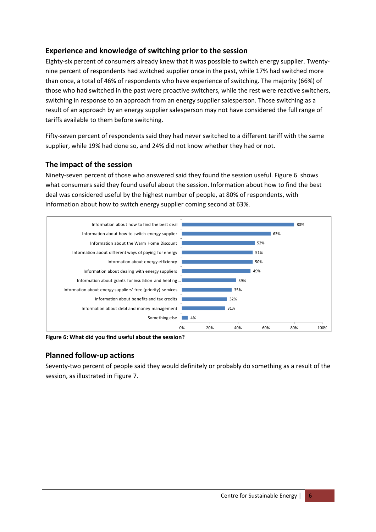#### **Experience and knowledge of switching prior to the session**

Eighty‐six percent of consumers already knew that it was possible to switch energy supplier. Twenty‐ nine percent of respondents had switched supplier once in the past, while 17% had switched more than once, a total of 46% of respondents who have experience of switching. The majority (66%) of those who had switched in the past were proactive switchers, while the rest were reactive switchers, switching in response to an approach from an energy supplier salesperson. Those switching as a result of an approach by an energy supplier salesperson may not have considered the full range of tariffs available to them before switching.

Fifty-seven percent of respondents said they had never switched to a different tariff with the same supplier, while 19% had done so, and 24% did not know whether they had or not.

#### **The impact of the session**

Ninety-seven percent of those who answered said they found the session useful. Figure 6 shows what consumers said they found useful about the session. Information about how to find the best deal was considered useful by the highest number of people, at 80% of respondents, with information about how to switch energy supplier coming second at 63%.



**Figure 6: What did you find useful about the session?**

#### **Planned follow‐up actions**

Seventy-two percent of people said they would definitely or probably do something as a result of the session, as illustrated in Figure 7.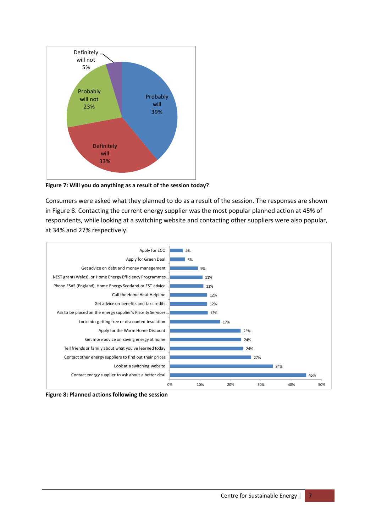

**Figure 7: Will you do anything as a result of the session today?**

Consumers were asked what they planned to do as a result of the session. The responses are shown in Figure 8. Contacting the current energy supplier was the most popular planned action at 45% of respondents, while looking at a switching website and contacting other suppliers were also popular, at 34% and 27% respectively.



**Figure 8: Planned actions following the session**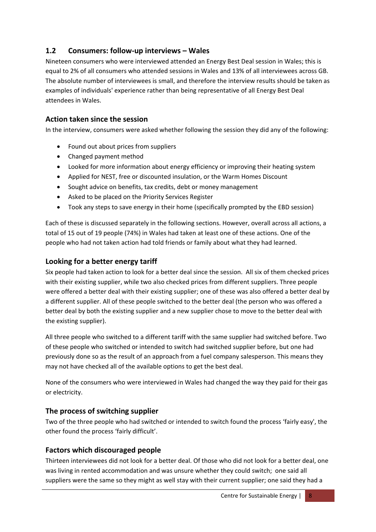# **1.2 Consumers: follow‐up interviews – Wales**

Nineteen consumers who were interviewed attended an Energy Best Deal session in Wales; this is equal to 2% of all consumers who attended sessions in Wales and 13% of all interviewees across GB. The absolute number of interviewees is small, and therefore the interview results should be taken as examples of individuals' experience rather than being representative of all Energy Best Deal attendees in Wales.

#### **Action taken since the session**

In the interview, consumers were asked whether following the session they did any of the following:

- Found out about prices from suppliers
- Changed payment method
- Looked for more information about energy efficiency or improving their heating system
- Applied for NEST, free or discounted insulation, or the Warm Homes Discount
- Sought advice on benefits, tax credits, debt or money management
- Asked to be placed on the Priority Services Register
- Took any steps to save energy in their home (specifically prompted by the EBD session)

Each of these is discussed separately in the following sections. However, overall across all actions, a total of 15 out of 19 people (74%) in Wales had taken at least one of these actions. One of the people who had not taken action had told friends or family about what they had learned.

#### **Looking for a better energy tariff**

Six people had taken action to look for a better deal since the session. All six of them checked prices with their existing supplier, while two also checked prices from different suppliers. Three people were offered a better deal with their existing supplier; one of these was also offered a better deal by a different supplier. All of these people switched to the better deal (the person who was offered a better deal by both the existing supplier and a new supplier chose to move to the better deal with the existing supplier).

All three people who switched to a different tariff with the same supplier had switched before. Two of these people who switched or intended to switch had switched supplier before, but one had previously done so as the result of an approach from a fuel company salesperson. This means they may not have checked all of the available options to get the best deal.

None of the consumers who were interviewed in Wales had changed the way they paid for their gas or electricity.

#### **The process of switching supplier**

Two of the three people who had switched or intended to switch found the process 'fairly easy', the other found the process 'fairly difficult'.

## **Factors which discouraged people**

Thirteen interviewees did not look for a better deal. Of those who did not look for a better deal, one was living in rented accommodation and was unsure whether they could switch; one said all suppliers were the same so they might as well stay with their current supplier; one said they had a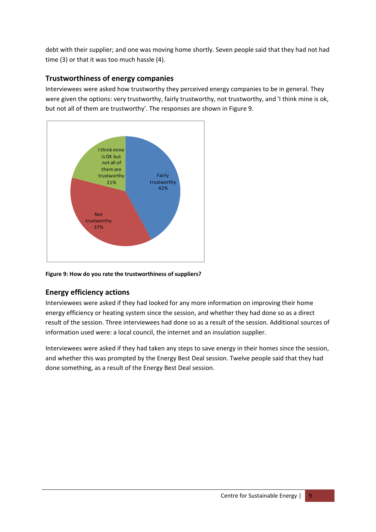debt with their supplier; and one was moving home shortly. Seven people said that they had not had time (3) or that it was too much hassle (4).

# **Trustworthiness of energy companies**

Interviewees were asked how trustworthy they perceived energy companies to be in general. They were given the options: very trustworthy, fairly trustworthy, not trustworthy, and 'I think mine is ok, but not all of them are trustworthy'. The responses are shown in Figure 9.



**Figure 9: How do you rate the trustworthiness of suppliers?**

# **Energy efficiency actions**

Interviewees were asked if they had looked for any more information on improving their home energy efficiency or heating system since the session, and whether they had done so as a direct result of the session. Three interviewees had done so as a result of the session. Additional sources of information used were: a local council, the internet and an insulation supplier.

Interviewees were asked if they had taken any steps to save energy in their homes since the session, and whether this was prompted by the Energy Best Deal session. Twelve people said that they had done something, as a result of the Energy Best Deal session.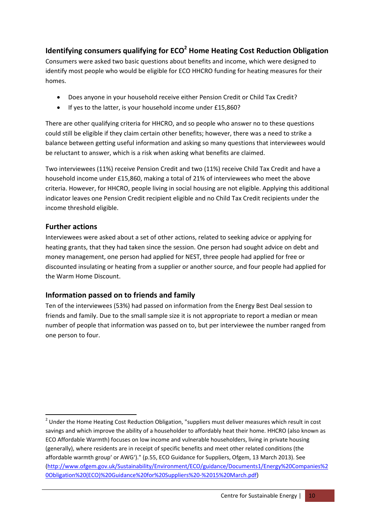# **Identifying consumers qualifying for ECO<sup>2</sup> Home Heating Cost Reduction Obligation**

Consumers were asked two basic questions about benefits and income, which were designed to identify most people who would be eligible for ECO HHCRO funding for heating measures for their homes.

- Does anyone in your household receive either Pension Credit or Child Tax Credit?
- If yes to the latter, is your household income under £15,860?

There are other qualifying criteria for HHCRO, and so people who answer no to these questions could still be eligible if they claim certain other benefits; however, there was a need to strike a balance between getting useful information and asking so many questions that interviewees would be reluctant to answer, which is a risk when asking what benefits are claimed.

Two interviewees (11%) receive Pension Credit and two (11%) receive Child Tax Credit and have a household income under £15,860, making a total of 21% of interviewees who meet the above criteria. However, for HHCRO, people living in social housing are not eligible. Applying this additional indicator leaves one Pension Credit recipient eligible and no Child Tax Credit recipients under the income threshold eligible.

# **Further actions**

Interviewees were asked about a set of other actions, related to seeking advice or applying for heating grants, that they had taken since the session. One person had sought advice on debt and money management, one person had applied for NEST, three people had applied for free or discounted insulating or heating from a supplier or another source, and four people had applied for the Warm Home Discount.

# **Information passed on to friends and family**

Ten of the interviewees (53%) had passed on information from the Energy Best Deal session to friends and family. Due to the small sample size it is not appropriate to report a median or mean number of people that information was passed on to, but per interviewee the number ranged from one person to four.

 $^{2}$  Under the Home Heating Cost Reduction Obligation, "suppliers must deliver measures which result in cost savings and which improve the ability of a householder to affordably heat their home. HHCRO (also known as ECO Affordable Warmth) focuses on low income and vulnerable householders, living in private housing (generally), where residents are in receipt of specific benefits and meet other related conditions (the affordable warmth group' or AWG')." (p.55, ECO Guidance for Suppliers, Ofgem, 13 March 2013). See (http://www.ofgem.gov.uk/Sustainability/Environment/ECO/guidance/Documents1/Energy%20Companies%2 0Obligation%20(ECO)%20Guidance%20for%20Suppliers%20‐%2015%20March.pdf)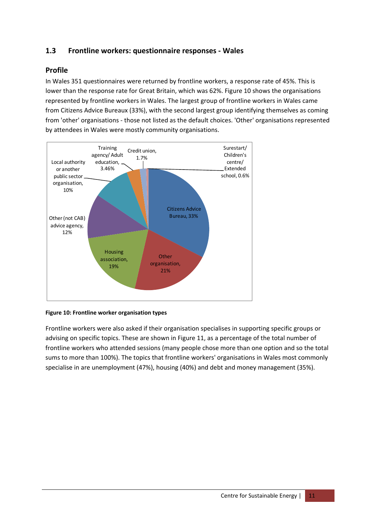# **1.3 Frontline workers: questionnaire responses ‐ Wales**

#### **Profile**

In Wales 351 questionnaires were returned by frontline workers, a response rate of 45%. This is lower than the response rate for Great Britain, which was 62%. Figure 10 shows the organisations represented by frontline workers in Wales. The largest group of frontline workers in Wales came from Citizens Advice Bureaux (33%), with the second largest group identifying themselves as coming from 'other' organisations ‐ those not listed as the default choices. 'Other' organisations represented by attendees in Wales were mostly community organisations.



#### **Figure 10: Frontline worker organisation types**

Frontline workers were also asked if their organisation specialises in supporting specific groups or advising on specific topics. These are shown in Figure 11, as a percentage of the total number of frontline workers who attended sessions (many people chose more than one option and so the total sums to more than 100%). The topics that frontline workers' organisations in Wales most commonly specialise in are unemployment (47%), housing (40%) and debt and money management (35%).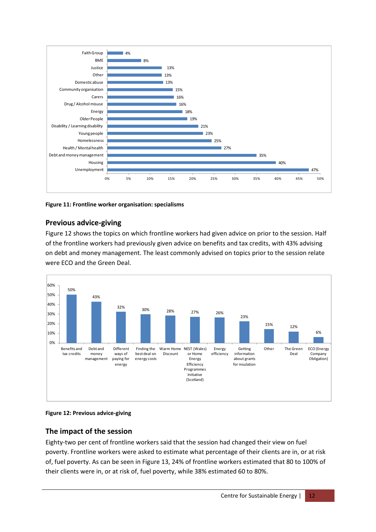

**Figure 11: Frontline worker organisation: specialisms**

#### **Previous advice‐giving**

Figure 12 shows the topics on which frontline workers had given advice on prior to the session. Half of the frontline workers had previously given advice on benefits and tax credits, with 43% advising on debt and money management. The least commonly advised on topics prior to the session relate were ECO and the Green Deal.



#### **Figure 12: Previous advice‐giving**

#### **The impact of the session**

Eighty-two per cent of frontline workers said that the session had changed their view on fuel poverty. Frontline workers were asked to estimate what percentage of their clients are in, or at risk of, fuel poverty. As can be seen in Figure 13, 24% of frontline workers estimated that 80 to 100% of their clients were in, or at risk of, fuel poverty, while 38% estimated 60 to 80%.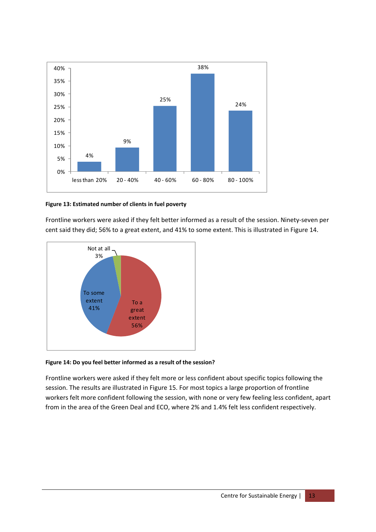

#### **Figure 13: Estimated number of clients in fuel poverty**

Frontline workers were asked if they felt better informed as a result of the session. Ninety‐seven per cent said they did; 56% to a great extent, and 41% to some extent. This is illustrated in Figure 14.



#### **Figure 14: Do you feel better informed as a result of the session?**

Frontline workers were asked if they felt more or less confident about specific topics following the session. The results are illustrated in Figure 15. For most topics a large proportion of frontline workers felt more confident following the session, with none or very few feeling less confident, apart from in the area of the Green Deal and ECO, where 2% and 1.4% felt less confident respectively.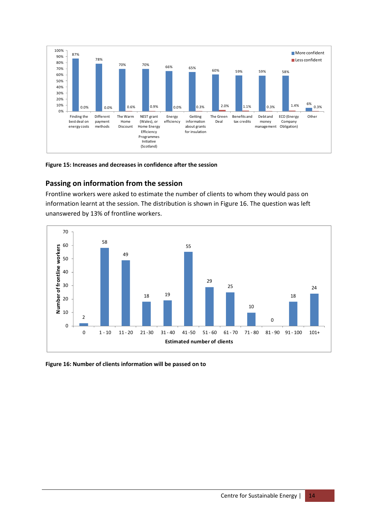

#### **Figure 15: Increases and decreases in confidence after the session**

#### **Passing on information from the session**

Frontline workers were asked to estimate the number of clients to whom they would pass on information learnt at the session. The distribution is shown in Figure 16. The question was left unanswered by 13% of frontline workers.



#### **Figure 16: Number of clients information will be passed on to**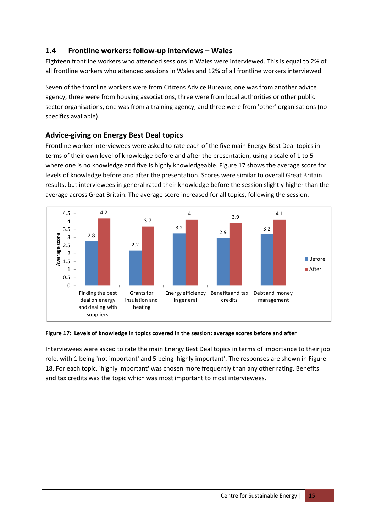# **1.4 Frontline workers: follow‐up interviews – Wales**

Eighteen frontline workers who attended sessions in Wales were interviewed. This is equal to 2% of all frontline workers who attended sessions in Wales and 12% of all frontline workers interviewed.

Seven of the frontline workers were from Citizens Advice Bureaux, one was from another advice agency, three were from housing associations, three were from local authorities or other public sector organisations, one was from a training agency, and three were from 'other' organisations (no specifics available).

# **Advice‐giving on Energy Best Deal topics**

Frontline worker interviewees were asked to rate each of the five main Energy Best Deal topics in terms of their own level of knowledge before and after the presentation, using a scale of 1 to 5 where one is no knowledge and five is highly knowledgeable. Figure 17 shows the average score for levels of knowledge before and after the presentation. Scores were similar to overall Great Britain results, but interviewees in general rated their knowledge before the session slightly higher than the average across Great Britain. The average score increased for all topics, following the session.



#### **Figure 17: Levels of knowledge in topics covered in the session: average scores before and after**

Interviewees were asked to rate the main Energy Best Deal topics in terms of importance to their job role, with 1 being 'not important' and 5 being 'highly important'. The responses are shown in Figure 18. For each topic, 'highly important' was chosen more frequently than any other rating. Benefits and tax credits was the topic which was most important to most interviewees.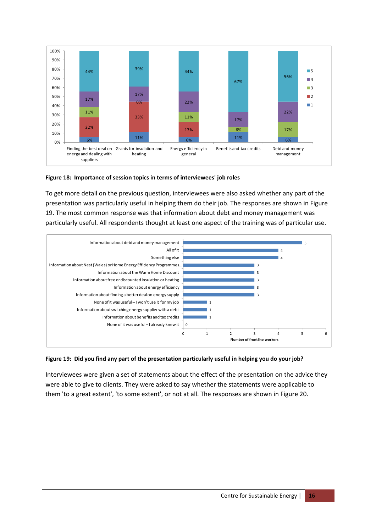

#### **Figure 18: Importance of session topics in terms of interviewees' job roles**

To get more detail on the previous question, interviewees were also asked whether any part of the presentation was particularly useful in helping them do their job. The responses are shown in Figure 19. The most common response was that information about debt and money management was particularly useful. All respondents thought at least one aspect of the training was of particular use.



#### Figure 19: Did you find any part of the presentation particularly useful in helping you do your job?

Interviewees were given a set of statements about the effect of the presentation on the advice they were able to give to clients. They were asked to say whether the statements were applicable to them 'to a great extent', 'to some extent', or not at all. The responses are shown in Figure 20.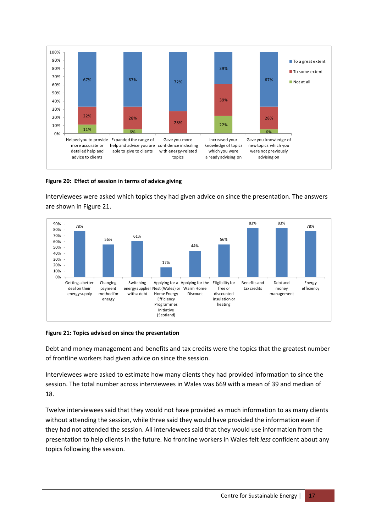

#### **Figure 20: Effect of session in terms of advice giving**

Interviewees were asked which topics they had given advice on since the presentation. The answers are shown in Figure 21.



#### **Figure 21: Topics advised on since the presentation**

Debt and money management and benefits and tax credits were the topics that the greatest number of frontline workers had given advice on since the session.

Interviewees were asked to estimate how many clients they had provided information to since the session. The total number across interviewees in Wales was 669 with a mean of 39 and median of 18.

Twelve interviewees said that they would not have provided as much information to as many clients without attending the session, while three said they would have provided the information even if they had not attended the session. All interviewees said that they would use information from the presentation to help clients in the future. No frontline workers in Wales felt *less* confident about any topics following the session.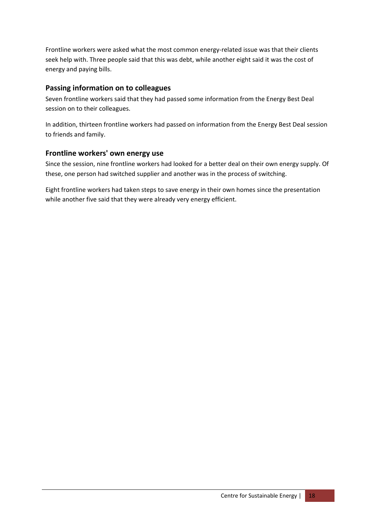Frontline workers were asked what the most common energy-related issue was that their clients seek help with. Three people said that this was debt, while another eight said it was the cost of energy and paying bills.

#### **Passing information on to colleagues**

Seven frontline workers said that they had passed some information from the Energy Best Deal session on to their colleagues.

In addition, thirteen frontline workers had passed on information from the Energy Best Deal session to friends and family.

#### **Frontline workers' own energy use**

Since the session, nine frontline workers had looked for a better deal on their own energy supply. Of these, one person had switched supplier and another was in the process of switching.

Eight frontline workers had taken steps to save energy in their own homes since the presentation while another five said that they were already very energy efficient.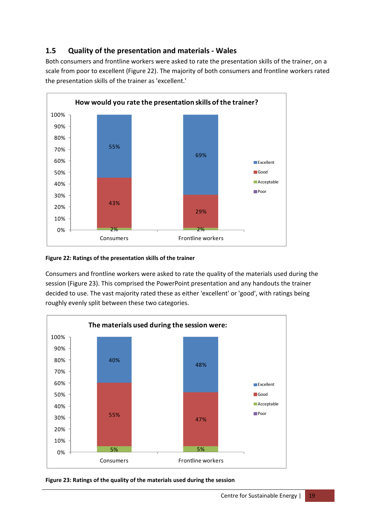# **1.5 Quality of the presentation and materials ‐ Wales**

Both consumers and frontline workers were asked to rate the presentation skills of the trainer, on a scale from poor to excellent (Figure 22). The majority of both consumers and frontline workers rated the presentation skills of the trainer as 'excellent.'



#### **Figure 22: Ratings of the presentation skills of the trainer**

Consumers and frontline workers were asked to rate the quality of the materials used during the session (Figure 23). This comprised the PowerPoint presentation and any handouts the trainer decided to use. The vast majority rated these as either 'excellent' or 'good', with ratings being roughly evenly split between these two categories.



**Figure 23: Ratings of the quality of the materials used during the session**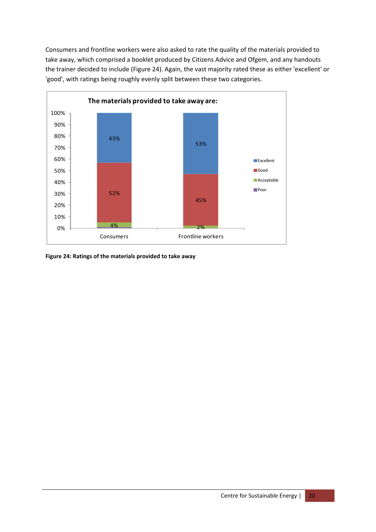Consumers and frontline workers were also asked to rate the quality of the materials provided to take away, which comprised a booklet produced by Citizens Advice and Ofgem, and any handouts the trainer decided to include (Figure 24). Again, the vast majority rated these as either 'excellent' or 'good', with ratings being roughly evenly split between these two categories.



**Figure 24: Ratings of the materials provided to take away**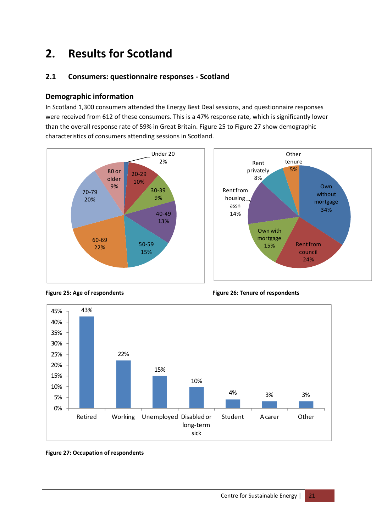# **2. Results for Scotland**

# **2.1 Consumers: questionnaire responses ‐ Scotland**

#### **Demographic information**

In Scotland 1,300 consumers attended the Energy Best Deal sessions, and questionnaire responses were received from 612 of these consumers. This is a 47% response rate, which is significantly lower than the overall response rate of 59% in Great Britain. Figure 25 to Figure 27 show demographic characteristics of consumers attending sessions in Scotland.









**Figure 25: Age of respondents Figure 26: Tenure of respondents**

#### **Figure 27: Occupation of respondents**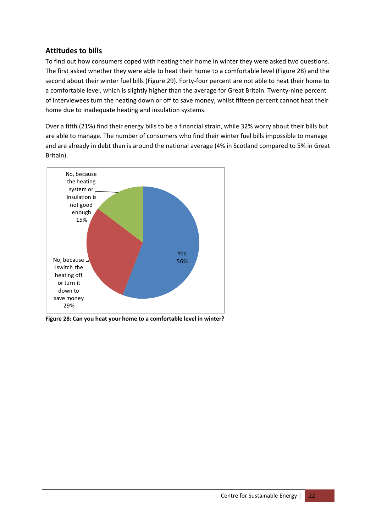# **Attitudes to bills**

To find out how consumers coped with heating their home in winter they were asked two questions. The first asked whether they were able to heat their home to a comfortable level (Figure 28) and the second about their winter fuel bills (Figure 29). Forty-four percent are not able to heat their home to a comfortable level, which is slightly higher than the average for Great Britain. Twenty‐nine percent of interviewees turn the heating down or off to save money, whilst fifteen percent cannot heat their home due to inadequate heating and insulation systems.

Over a fifth (21%) find their energy bills to be a financial strain, while 32% worry about their bills but are able to manage. The number of consumers who find their winter fuel bills impossible to manage and are already in debt than is around the national average (4% in Scotland compared to 5% in Great Britain).



**Figure 28: Can you heat your home to a comfortable level in winter?**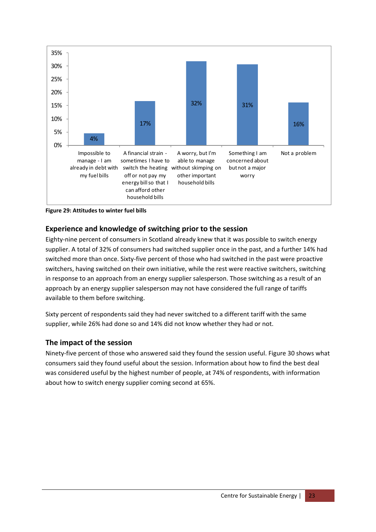

**Figure 29: Attitudes to winter fuel bills** 

#### **Experience and knowledge of switching prior to the session**

Eighty-nine percent of consumers in Scotland already knew that it was possible to switch energy supplier. A total of 32% of consumers had switched supplier once in the past, and a further 14% had switched more than once. Sixty‐five percent of those who had switched in the past were proactive switchers, having switched on their own initiative, while the rest were reactive switchers, switching in response to an approach from an energy supplier salesperson. Those switching as a result of an approach by an energy supplier salesperson may not have considered the full range of tariffs available to them before switching.

Sixty percent of respondents said they had never switched to a different tariff with the same supplier, while 26% had done so and 14% did not know whether they had or not.

#### **The impact of the session**

Ninety‐five percent of those who answered said they found the session useful. Figure 30 shows what consumers said they found useful about the session. Information about how to find the best deal was considered useful by the highest number of people, at 74% of respondents, with information about how to switch energy supplier coming second at 65%.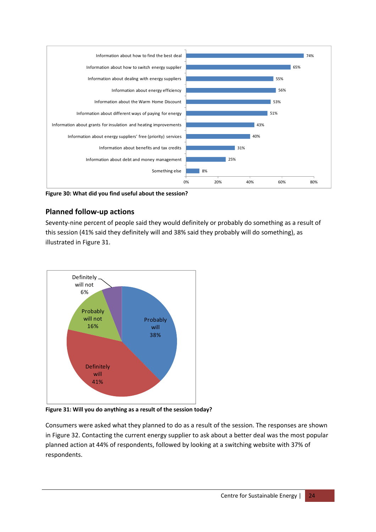

**Figure 30: What did you find useful about the session?**

## **Planned follow‐up actions**

Seventy‐nine percent of people said they would definitely or probably do something as a result of this session (41% said they definitely will and 38% said they probably will do something), as illustrated in Figure 31.



**Figure 31: Will you do anything as a result of the session today?**

Consumers were asked what they planned to do as a result of the session. The responses are shown in Figure 32. Contacting the current energy supplier to ask about a better deal was the most popular planned action at 44% of respondents, followed by looking at a switching website with 37% of respondents.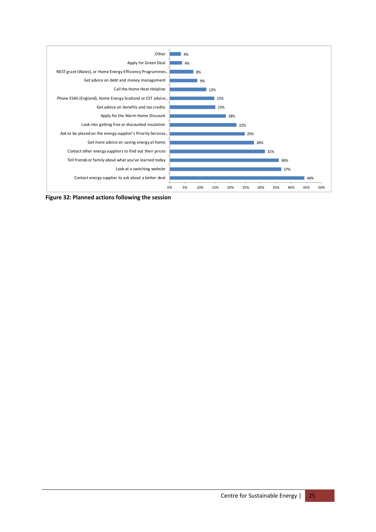

**Figure 32: Planned actions following the session**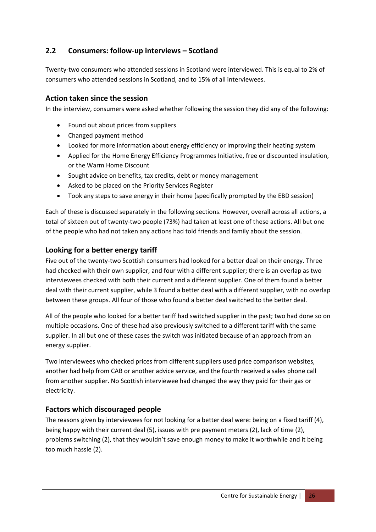# **2.2 Consumers: follow‐up interviews – Scotland**

Twenty-two consumers who attended sessions in Scotland were interviewed. This is equal to 2% of consumers who attended sessions in Scotland, and to 15% of all interviewees.

#### **Action taken since the session**

In the interview, consumers were asked whether following the session they did any of the following:

- Found out about prices from suppliers
- Changed payment method
- Looked for more information about energy efficiency or improving their heating system
- Applied for the Home Energy Efficiency Programmes Initiative, free or discounted insulation, or the Warm Home Discount
- Sought advice on benefits, tax credits, debt or money management
- Asked to be placed on the Priority Services Register
- Took any steps to save energy in their home (specifically prompted by the EBD session)

Each of these is discussed separately in the following sections. However, overall across all actions, a total of sixteen out of twenty‐two people (73%) had taken at least one of these actions. All but one of the people who had not taken any actions had told friends and family about the session.

#### **Looking for a better energy tariff**

Five out of the twenty‐two Scottish consumers had looked for a better deal on their energy. Three had checked with their own supplier, and four with a different supplier; there is an overlap as two interviewees checked with both their current and a different supplier. One of them found a better deal with their current supplier, while 3 found a better deal with a different supplier, with no overlap between these groups. All four of those who found a better deal switched to the better deal.

All of the people who looked for a better tariff had switched supplier in the past; two had done so on multiple occasions. One of these had also previously switched to a different tariff with the same supplier. In all but one of these cases the switch was initiated because of an approach from an energy supplier.

Two interviewees who checked prices from different suppliers used price comparison websites, another had help from CAB or another advice service, and the fourth received a sales phone call from another supplier. No Scottish interviewee had changed the way they paid for their gas or electricity.

## **Factors which discouraged people**

The reasons given by interviewees for not looking for a better deal were: being on a fixed tariff (4), being happy with their current deal (5), issues with pre payment meters (2), lack of time (2), problems switching (2), that they wouldn't save enough money to make it worthwhile and it being too much hassle (2).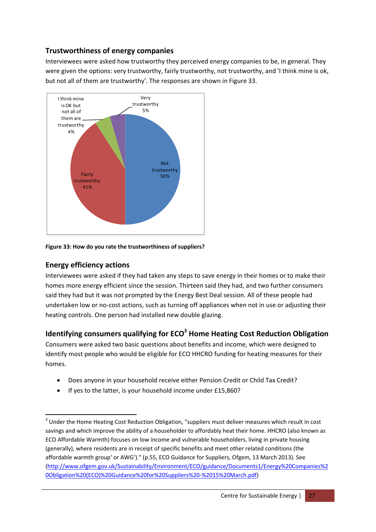# **Trustworthiness of energy companies**

Interviewees were asked how trustworthy they perceived energy companies to be, in general. They were given the options: very trustworthy, fairly trustworthy, not trustworthy, and 'I think mine is ok, but not all of them are trustworthy'. The responses are shown in Figure 33.



#### **Figure 33: How do you rate the trustworthiness of suppliers?**

#### **Energy efficiency actions**

Interviewees were asked if they had taken any steps to save energy in their homes or to make their homes more energy efficient since the session. Thirteen said they had, and two further consumers said they had but it was not prompted by the Energy Best Deal session. All of these people had undertaken low or no‐cost actions, such as turning off appliances when not in use or adjusting their heating controls. One person had installed new double glazing.

# **Identifying consumers qualifying for ECO3 Home Heating Cost Reduction Obligation**

Consumers were asked two basic questions about benefits and income, which were designed to identify most people who would be eligible for ECO HHCRO funding for heating measures for their homes.

- Does anyone in your household receive either Pension Credit or Child Tax Credit?
- If yes to the latter, is your household income under £15,860?

 $3$  Under the Home Heating Cost Reduction Obligation, "suppliers must deliver measures which result in cost savings and which improve the ability of a householder to affordably heat their home. HHCRO (also known as ECO Affordable Warmth) focuses on low income and vulnerable householders, living in private housing (generally), where residents are in receipt of specific benefits and meet other related conditions (the affordable warmth group' or AWG')." (p.55, ECO Guidance for Suppliers, Ofgem, 13 March 2013). See (http://www.ofgem.gov.uk/Sustainability/Environment/ECO/guidance/Documents1/Energy%20Companies%2 0Obligation%20(ECO)%20Guidance%20for%20Suppliers%20‐%2015%20March.pdf)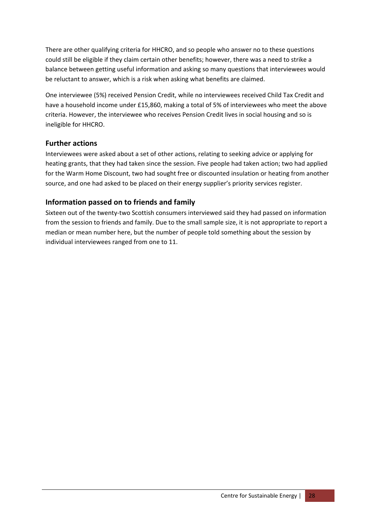There are other qualifying criteria for HHCRO, and so people who answer no to these questions could still be eligible if they claim certain other benefits; however, there was a need to strike a balance between getting useful information and asking so many questions that interviewees would be reluctant to answer, which is a risk when asking what benefits are claimed.

One interviewee (5%) received Pension Credit, while no interviewees received Child Tax Credit and have a household income under £15,860, making a total of 5% of interviewees who meet the above criteria. However, the interviewee who receives Pension Credit lives in social housing and so is ineligible for HHCRO.

#### **Further actions**

Interviewees were asked about a set of other actions, relating to seeking advice or applying for heating grants, that they had taken since the session. Five people had taken action; two had applied for the Warm Home Discount, two had sought free or discounted insulation or heating from another source, and one had asked to be placed on their energy supplier's priority services register.

# **Information passed on to friends and family**

Sixteen out of the twenty‐two Scottish consumers interviewed said they had passed on information from the session to friends and family. Due to the small sample size, it is not appropriate to report a median or mean number here, but the number of people told something about the session by individual interviewees ranged from one to 11.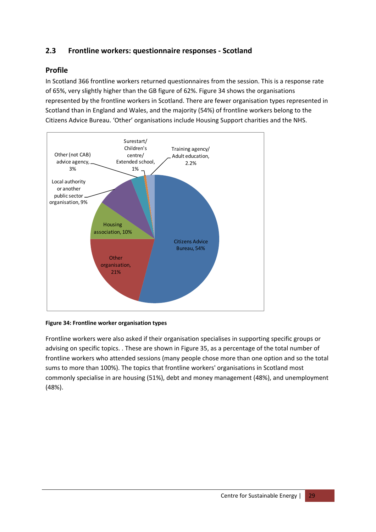# **2.3 Frontline workers: questionnaire responses ‐ Scotland**

#### **Profile**

In Scotland 366 frontline workers returned questionnaires from the session. This is a response rate of 65%, very slightly higher than the GB figure of 62%. Figure 34 shows the organisations represented by the frontline workers in Scotland. There are fewer organisation types represented in Scotland than in England and Wales, and the majority (54%) of frontline workers belong to the Citizens Advice Bureau. 'Other' organisations include Housing Support charities and the NHS.



#### **Figure 34: Frontline worker organisation types**

Frontline workers were also asked if their organisation specialises in supporting specific groups or advising on specific topics. . These are shown in Figure 35, as a percentage of the total number of frontline workers who attended sessions (many people chose more than one option and so the total sums to more than 100%). The topics that frontline workers' organisations in Scotland most commonly specialise in are housing (51%), debt and money management (48%), and unemployment (48%).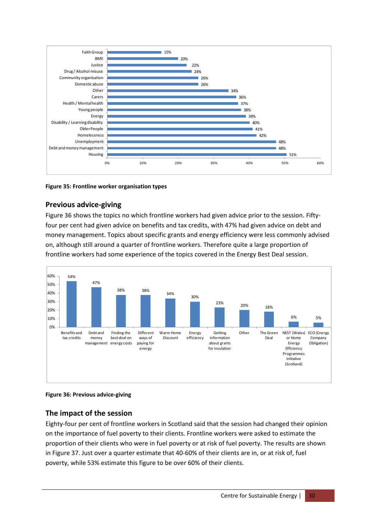

**Figure 35: Frontline worker organisation types** 

## **Previous advice‐giving**

Figure 36 shows the topics no which frontline workers had given advice prior to the session. Fiftyfour per cent had given advice on benefits and tax credits, with 47% had given advice on debt and money management. Topics about specific grants and energy efficiency were less commonly advised on, although still around a quarter of frontline workers. Therefore quite a large proportion of frontline workers had some experience of the topics covered in the Energy Best Deal session.





## **The impact of the session**

Eighty-four per cent of frontline workers in Scotland said that the session had changed their opinion on the importance of fuel poverty to their clients. Frontline workers were asked to estimate the proportion of their clients who were in fuel poverty or at risk of fuel poverty. The results are shown in Figure 37. Just over a quarter estimate that 40-60% of their clients are in, or at risk of, fuel poverty, while 53% estimate this figure to be over 60% of their clients.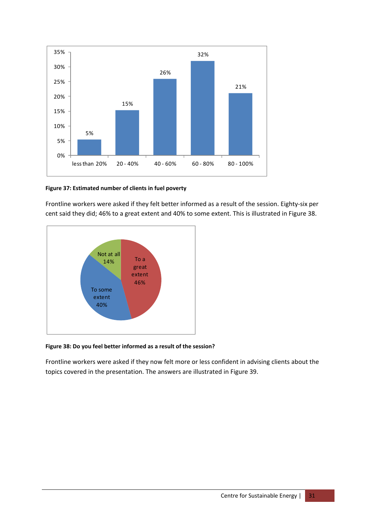

#### **Figure 37: Estimated number of clients in fuel poverty**

Frontline workers were asked if they felt better informed as a result of the session. Eighty‐six per cent said they did; 46% to a great extent and 40% to some extent. This is illustrated in Figure 38.



#### **Figure 38: Do you feel better informed as a result of the session?**

Frontline workers were asked if they now felt more or less confident in advising clients about the topics covered in the presentation. The answers are illustrated in Figure 39.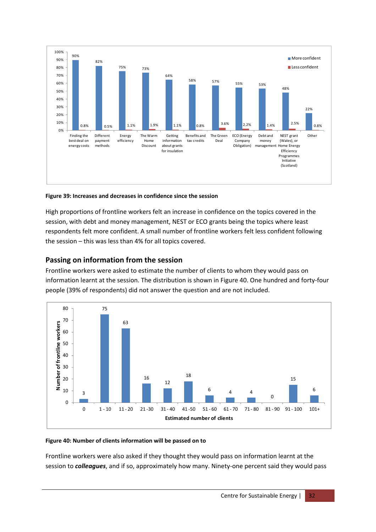

**Figure 39: Increases and decreases in confidence since the session**

High proportions of frontline workers felt an increase in confidence on the topics covered in the session, with debt and money management, NEST or ECO grants being the topics where least respondents felt more confident. A small number of frontline workers felt less confident following the session – this was less than 4% for all topics covered.

# **Passing on information from the session**

Frontline workers were asked to estimate the number of clients to whom they would pass on information learnt at the session. The distribution is shown in Figure 40. One hundred and forty‐four people (39% of respondents) did not answer the question and are not included.



#### **Figure 40: Number of clients information will be passed on to**

Frontline workers were also asked if they thought they would pass on information learnt at the session to **colleagues**, and if so, approximately how many. Ninety-one percent said they would pass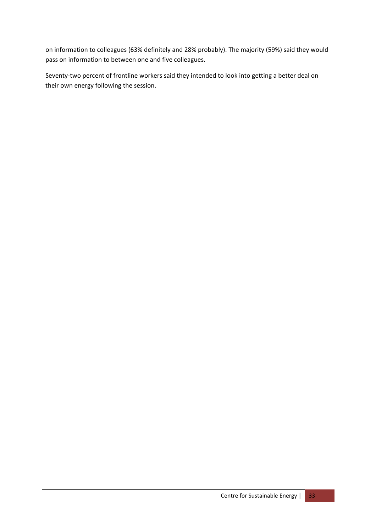on information to colleagues (63% definitely and 28% probably). The majority (59%) said they would pass on information to between one and five colleagues.

Seventy-two percent of frontline workers said they intended to look into getting a better deal on their own energy following the session.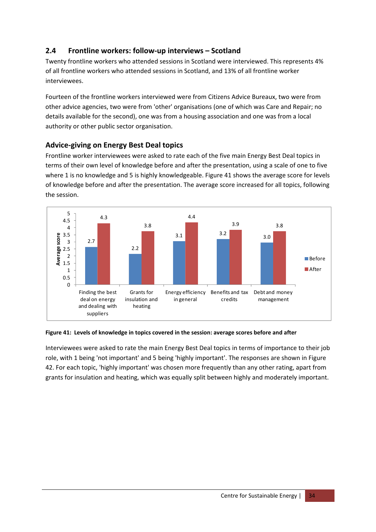# **2.4 Frontline workers: follow‐up interviews – Scotland**

Twenty frontline workers who attended sessions in Scotland were interviewed. This represents 4% of all frontline workers who attended sessions in Scotland, and 13% of all frontline worker interviewees.

Fourteen of the frontline workers interviewed were from Citizens Advice Bureaux, two were from other advice agencies, two were from 'other' organisations (one of which was Care and Repair; no details available for the second), one was from a housing association and one was from a local authority or other public sector organisation.

# **Advice‐giving on Energy Best Deal topics**

Frontline worker interviewees were asked to rate each of the five main Energy Best Deal topics in terms of their own level of knowledge before and after the presentation, using a scale of one to five where 1 is no knowledge and 5 is highly knowledgeable. Figure 41 shows the average score for levels of knowledge before and after the presentation. The average score increased for all topics, following the session.



#### **Figure 41: Levels of knowledge in topics covered in the session: average scores before and after**

Interviewees were asked to rate the main Energy Best Deal topics in terms of importance to their job role, with 1 being 'not important' and 5 being 'highly important'. The responses are shown in Figure 42. For each topic, 'highly important' was chosen more frequently than any other rating, apart from grants for insulation and heating, which was equally split between highly and moderately important.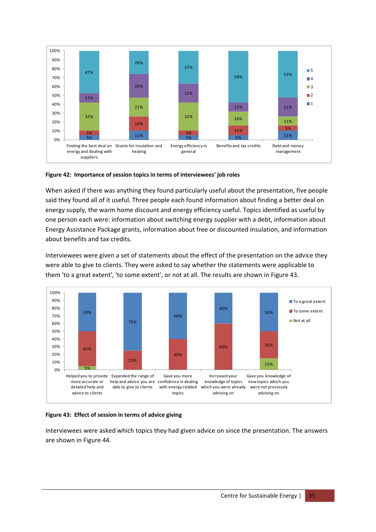

#### **Figure 42: Importance of session topics in terms of interviewees' job roles**

When asked if there was anything they found particularly useful about the presentation, five people said they found all of it useful. Three people each found information about finding a better deal on energy supply, the warm home discount and energy efficiency useful. Topics identified as useful by one person each were: information about switching energy supplier with a debt, information about Energy Assistance Package grants, information about free or discounted insulation, and information about benefits and tax credits.

Interviewees were given a set of statements about the effect of the presentation on the advice they were able to give to clients. They were asked to say whether the statements were applicable to them 'to a great extent', 'to some extent', or not at all. The results are shown in Figure 43.



#### **Figure 43: Effect of session in terms of advice giving**

Interviewees were asked which topics they had given advice on since the presentation. The answers are shown in Figure 44.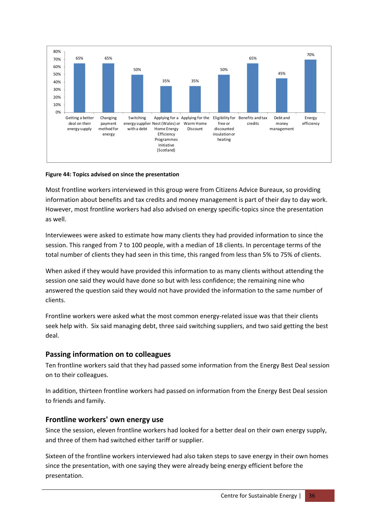

#### **Figure 44: Topics advised on since the presentation**

Most frontline workers interviewed in this group were from Citizens Advice Bureaux, so providing information about benefits and tax credits and money management is part of their day to day work. However, most frontline workers had also advised on energy specific-topics since the presentation as well.

Interviewees were asked to estimate how many clients they had provided information to since the session. This ranged from 7 to 100 people, with a median of 18 clients. In percentage terms of the total number of clients they had seen in this time, this ranged from less than 5% to 75% of clients.

When asked if they would have provided this information to as many clients without attending the session one said they would have done so but with less confidence; the remaining nine who answered the question said they would not have provided the information to the same number of clients.

Frontline workers were asked what the most common energy-related issue was that their clients seek help with. Six said managing debt, three said switching suppliers, and two said getting the best deal.

#### **Passing information on to colleagues**

Ten frontline workers said that they had passed some information from the Energy Best Deal session on to their colleagues.

In addition, thirteen frontline workers had passed on information from the Energy Best Deal session to friends and family.

#### **Frontline workers' own energy use**

Since the session, eleven frontline workers had looked for a better deal on their own energy supply, and three of them had switched either tariff or supplier.

Sixteen of the frontline workers interviewed had also taken steps to save energy in their own homes since the presentation, with one saying they were already being energy efficient before the presentation.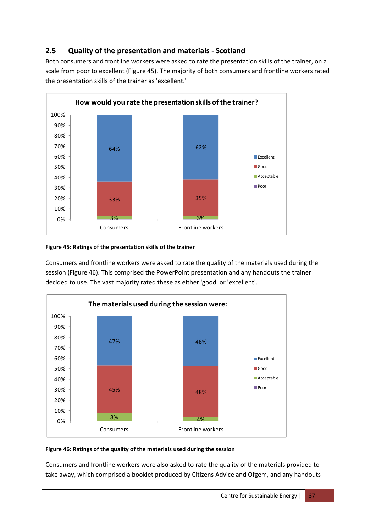# **2.5 Quality of the presentation and materials ‐ Scotland**

Both consumers and frontline workers were asked to rate the presentation skills of the trainer, on a scale from poor to excellent (Figure 45). The majority of both consumers and frontline workers rated the presentation skills of the trainer as 'excellent.'



#### **Figure 45: Ratings of the presentation skills of the trainer**

Consumers and frontline workers were asked to rate the quality of the materials used during the session (Figure 46). This comprised the PowerPoint presentation and any handouts the trainer decided to use. The vast majority rated these as either 'good' or 'excellent'.



#### **Figure 46: Ratings of the quality of the materials used during the session**

Consumers and frontline workers were also asked to rate the quality of the materials provided to take away, which comprised a booklet produced by Citizens Advice and Ofgem, and any handouts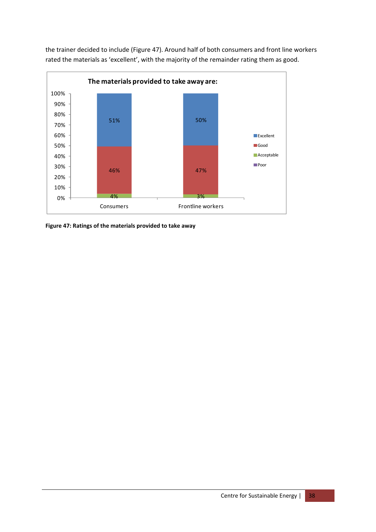

the trainer decided to include (Figure 47). Around half of both consumers and front line workers rated the materials as 'excellent', with the majority of the remainder rating them as good.

**Figure 47: Ratings of the materials provided to take away**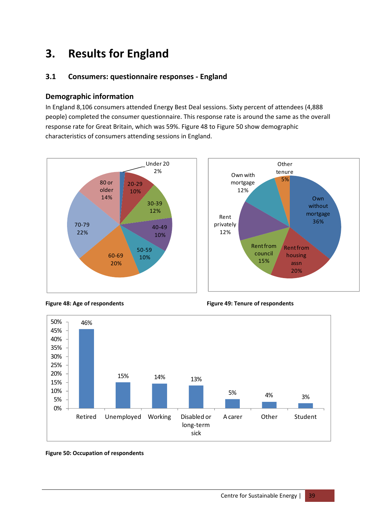# **3. Results for England**

# **3.1 Consumers: questionnaire responses ‐ England**

#### **Demographic information**

In England 8,106 consumers attended Energy Best Deal sessions. Sixty percent of attendees (4,888 people) completed the consumer questionnaire. This response rate is around the same as the overall response rate for Great Britain, which was 59%. Figure 48 to Figure 50 show demographic characteristics of consumers attending sessions in England.







**Figure 48: Age of respondents Figure 49: Tenure of respondents**

#### **Figure 50: Occupation of respondents**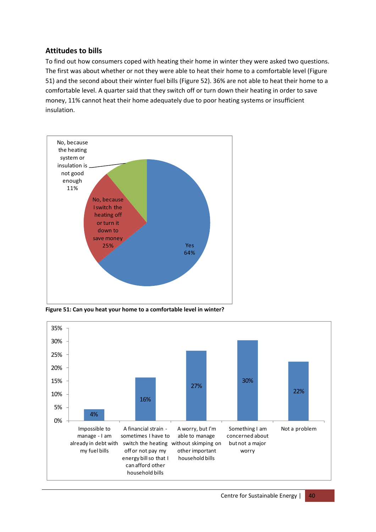## **Attitudes to bills**

To find out how consumers coped with heating their home in winter they were asked two questions. The first was about whether or not they were able to heat their home to a comfortable level (Figure 51) and the second about their winter fuel bills (Figure 52). 36% are not able to heat their home to a comfortable level. A quarter said that they switch off or turn down their heating in order to save money, 11% cannot heat their home adequately due to poor heating systems or insufficient insulation.



**Figure 51: Can you heat your home to a comfortable level in winter?**

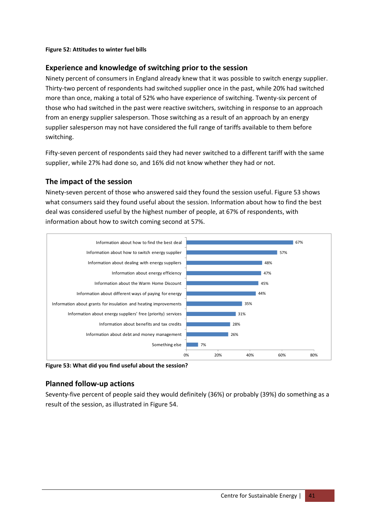#### **Figure 52: Attitudes to winter fuel bills**

#### **Experience and knowledge of switching prior to the session**

Ninety percent of consumers in England already knew that it was possible to switch energy supplier. Thirty‐two percent of respondents had switched supplier once in the past, while 20% had switched more than once, making a total of 52% who have experience of switching. Twenty‐six percent of those who had switched in the past were reactive switchers, switching in response to an approach from an energy supplier salesperson. Those switching as a result of an approach by an energy supplier salesperson may not have considered the full range of tariffs available to them before switching.

Fifty-seven percent of respondents said they had never switched to a different tariff with the same supplier, while 27% had done so, and 16% did not know whether they had or not.

#### **The impact of the session**

Ninety‐seven percent of those who answered said they found the session useful. Figure 53 shows what consumers said they found useful about the session. Information about how to find the best deal was considered useful by the highest number of people, at 67% of respondents, with information about how to switch coming second at 57%.



**Figure 53: What did you find useful about the session?**

## **Planned follow‐up actions**

Seventy‐five percent of people said they would definitely (36%) or probably (39%) do something as a result of the session, as illustrated in Figure 54.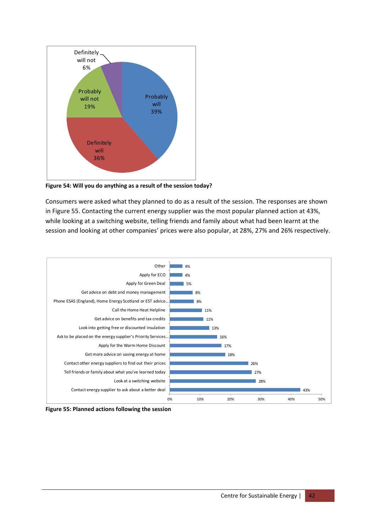

**Figure 54: Will you do anything as a result of the session today?**

Consumers were asked what they planned to do as a result of the session. The responses are shown in Figure 55. Contacting the current energy supplier was the most popular planned action at 43%, while looking at a switching website, telling friends and family about what had been learnt at the session and looking at other companies' prices were also popular, at 28%, 27% and 26% respectively.



**Figure 55: Planned actions following the session**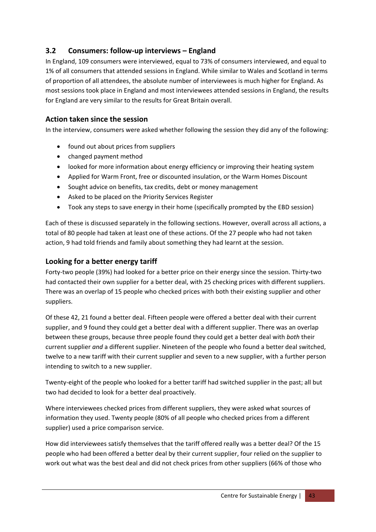# **3.2 Consumers: follow‐up interviews – England**

In England, 109 consumers were interviewed, equal to 73% of consumers interviewed, and equal to 1% of all consumers that attended sessions in England. While similar to Wales and Scotland in terms of proportion of all attendees, the absolute number of interviewees is much higher for England. As most sessions took place in England and most interviewees attended sessions in England, the results for England are very similar to the results for Great Britain overall.

#### **Action taken since the session**

In the interview, consumers were asked whether following the session they did any of the following:

- found out about prices from suppliers
- changed payment method
- looked for more information about energy efficiency or improving their heating system
- Applied for Warm Front, free or discounted insulation, or the Warm Homes Discount
- Sought advice on benefits, tax credits, debt or money management
- Asked to be placed on the Priority Services Register
- Took any steps to save energy in their home (specifically prompted by the EBD session)

Each of these is discussed separately in the following sections. However, overall across all actions, a total of 80 people had taken at least one of these actions. Of the 27 people who had not taken action, 9 had told friends and family about something they had learnt at the session.

#### **Looking for a better energy tariff**

Forty-two people (39%) had looked for a better price on their energy since the session. Thirty-two had contacted their own supplier for a better deal, with 25 checking prices with different suppliers. There was an overlap of 15 people who checked prices with both their existing supplier and other suppliers.

Of these 42, 21 found a better deal. Fifteen people were offered a better deal with their current supplier, and 9 found they could get a better deal with a different supplier. There was an overlap between these groups, because three people found they could get a better deal with *both* their current supplier *and* a different supplier. Nineteen of the people who found a better deal switched, twelve to a new tariff with their current supplier and seven to a new supplier, with a further person intending to switch to a new supplier.

Twenty‐eight of the people who looked for a better tariff had switched supplier in the past; all but two had decided to look for a better deal proactively.

Where interviewees checked prices from different suppliers, they were asked what sources of information they used. Twenty people (80% of all people who checked prices from a different supplier) used a price comparison service.

How did interviewees satisfy themselves that the tariff offered really was a better deal? Of the 15 people who had been offered a better deal by their current supplier, four relied on the supplier to work out what was the best deal and did not check prices from other suppliers (66% of those who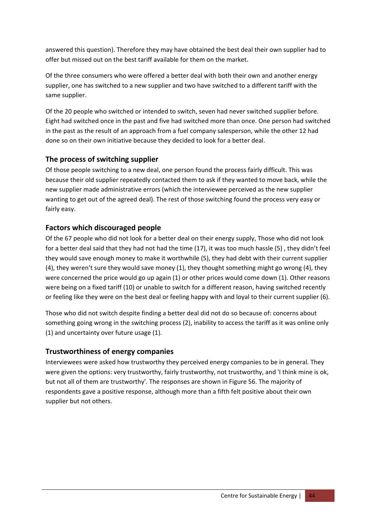answered this question). Therefore they may have obtained the best deal their own supplier had to offer but missed out on the best tariff available for them on the market.

Of the three consumers who were offered a better deal with both their own and another energy supplier, one has switched to a new supplier and two have switched to a different tariff with the same supplier.

Of the 20 people who switched or intended to switch, seven had never switched supplier before. Eight had switched once in the past and five had switched more than once. One person had switched in the past as the result of an approach from a fuel company salesperson, while the other 12 had done so on their own initiative because they decided to look for a better deal.

## **The process of switching supplier**

Of those people switching to a new deal, one person found the process fairly difficult. This was because their old supplier repeatedly contacted them to ask if they wanted to move back, while the new supplier made administrative errors (which the interviewee perceived as the new supplier wanting to get out of the agreed deal). The rest of those switching found the process very easy or fairly easy.

## **Factors which discouraged people**

Of the 67 people who did not look for a better deal on their energy supply, Those who did not look for a better deal said that they had not had the time (17), it was too much hassle (5) , they didn't feel they would save enough money to make it worthwhile (5), they had debt with their current supplier (4), they weren't sure they would save money (1), they thought something might go wrong (4), they were concerned the price would go up again (1) or other prices would come down (1). Other reasons were being on a fixed tariff (10) or unable to switch for a different reason, having switched recently or feeling like they were on the best deal or feeling happy with and loyal to their current supplier (6).

Those who did not switch despite finding a better deal did not do so because of: concerns about something going wrong in the switching process (2), inability to access the tariff as it was online only (1) and uncertainty over future usage (1).

## **Trustworthiness of energy companies**

Interviewees were asked how trustworthy they perceived energy companies to be in general. They were given the options: very trustworthy, fairly trustworthy, not trustworthy, and 'I think mine is ok, but not all of them are trustworthy'. The responses are shown in Figure 56. The majority of respondents gave a positive response, although more than a fifth felt positive about their own supplier but not others.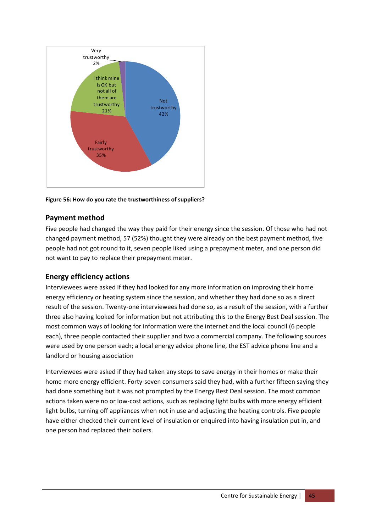

**Figure 56: How do you rate the trustworthiness of suppliers?**

# **Payment method**

Five people had changed the way they paid for their energy since the session. Of those who had not changed payment method, 57 (52%) thought they were already on the best payment method, five people had not got round to it, seven people liked using a prepayment meter, and one person did not want to pay to replace their prepayment meter.

## **Energy efficiency actions**

Interviewees were asked if they had looked for any more information on improving their home energy efficiency or heating system since the session, and whether they had done so as a direct result of the session. Twenty‐one interviewees had done so, as a result of the session, with a further three also having looked for information but not attributing this to the Energy Best Deal session. The most common ways of looking for information were the internet and the local council (6 people each), three people contacted their supplier and two a commercial company. The following sources were used by one person each; a local energy advice phone line, the EST advice phone line and a landlord or housing association

Interviewees were asked if they had taken any steps to save energy in their homes or make their home more energy efficient. Forty-seven consumers said they had, with a further fifteen saying they had done something but it was not prompted by the Energy Best Deal session. The most common actions taken were no or low‐cost actions, such as replacing light bulbs with more energy efficient light bulbs, turning off appliances when not in use and adjusting the heating controls. Five people have either checked their current level of insulation or enquired into having insulation put in, and one person had replaced their boilers.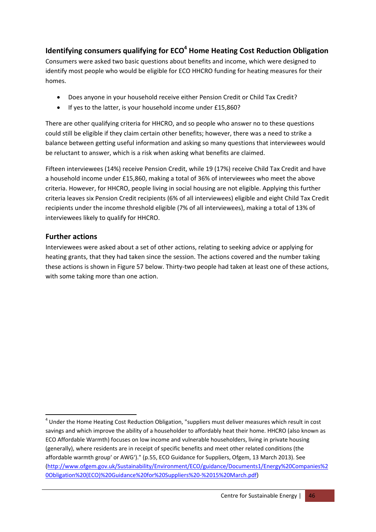# **Identifying consumers qualifying for ECO<sup>4</sup> Home Heating Cost Reduction Obligation**

Consumers were asked two basic questions about benefits and income, which were designed to identify most people who would be eligible for ECO HHCRO funding for heating measures for their homes.

- Does anyone in your household receive either Pension Credit or Child Tax Credit?
- If yes to the latter, is your household income under £15,860?

There are other qualifying criteria for HHCRO, and so people who answer no to these questions could still be eligible if they claim certain other benefits; however, there was a need to strike a balance between getting useful information and asking so many questions that interviewees would be reluctant to answer, which is a risk when asking what benefits are claimed.

Fifteen interviewees (14%) receive Pension Credit, while 19 (17%) receive Child Tax Credit and have a household income under £15,860, making a total of 36% of interviewees who meet the above criteria. However, for HHCRO, people living in social housing are not eligible. Applying this further criteria leaves six Pension Credit recipients (6% of all interviewees) eligible and eight Child Tax Credit recipients under the income threshold eligible (7% of all interviewees), making a total of 13% of interviewees likely to qualify for HHCRO.

## **Further actions**

Interviewees were asked about a set of other actions, relating to seeking advice or applying for heating grants, that they had taken since the session. The actions covered and the number taking these actions is shown in Figure 57 below. Thirty-two people had taken at least one of these actions, with some taking more than one action.

<sup>&</sup>lt;sup>4</sup> Under the Home Heating Cost Reduction Obligation, "suppliers must deliver measures which result in cost savings and which improve the ability of a householder to affordably heat their home. HHCRO (also known as ECO Affordable Warmth) focuses on low income and vulnerable householders, living in private housing (generally), where residents are in receipt of specific benefits and meet other related conditions (the affordable warmth group' or AWG')." (p.55, ECO Guidance for Suppliers, Ofgem, 13 March 2013). See (http://www.ofgem.gov.uk/Sustainability/Environment/ECO/guidance/Documents1/Energy%20Companies%2 0Obligation%20(ECO)%20Guidance%20for%20Suppliers%20‐%2015%20March.pdf)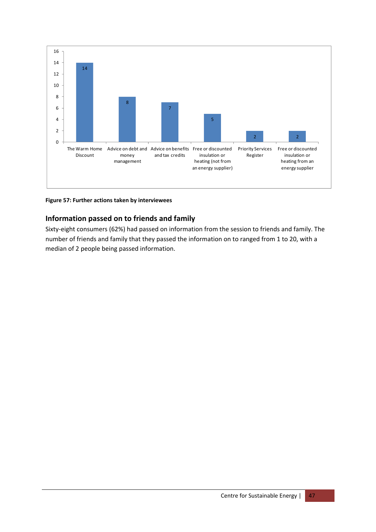

**Figure 57: Further actions taken by interviewees**

# **Information passed on to friends and family**

Sixty-eight consumers (62%) had passed on information from the session to friends and family. The number of friends and family that they passed the information on to ranged from 1 to 20, with a median of 2 people being passed information.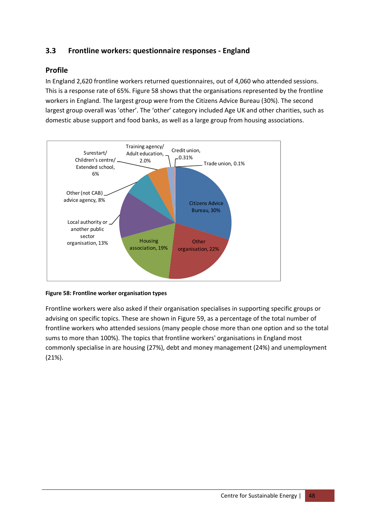# **3.3 Frontline workers: questionnaire responses ‐ England**

#### **Profile**

In England 2,620 frontline workers returned questionnaires, out of 4,060 who attended sessions. This is a response rate of 65%. Figure 58 shows that the organisations represented by the frontline workers in England. The largest group were from the Citizens Advice Bureau (30%). The second largest group overall was 'other'. The 'other' category included Age UK and other charities, such as domestic abuse support and food banks, as well as a large group from housing associations.



#### **Figure 58: Frontline worker organisation types**

Frontline workers were also asked if their organisation specialises in supporting specific groups or advising on specific topics. These are shown in Figure 59, as a percentage of the total number of frontline workers who attended sessions (many people chose more than one option and so the total sums to more than 100%). The topics that frontline workers' organisations in England most commonly specialise in are housing (27%), debt and money management (24%) and unemployment (21%).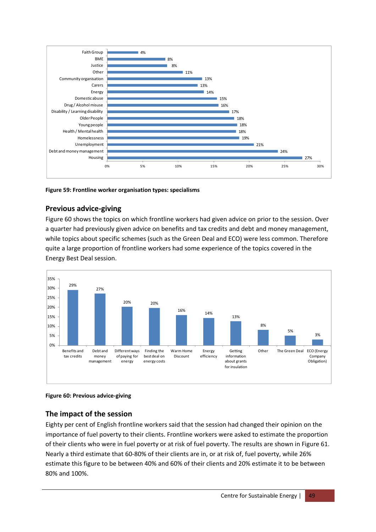

#### **Figure 59: Frontline worker organisation types: specialisms**

#### **Previous advice‐giving**

Figure 60 shows the topics on which frontline workers had given advice on prior to the session. Over a quarter had previously given advice on benefits and tax credits and debt and money management, while topics about specific schemes (such as the Green Deal and ECO) were less common. Therefore quite a large proportion of frontline workers had some experience of the topics covered in the Energy Best Deal session.



#### **Figure 60: Previous advice‐giving**

#### **The impact of the session**

Eighty per cent of English frontline workers said that the session had changed their opinion on the importance of fuel poverty to their clients. Frontline workers were asked to estimate the proportion of their clients who were in fuel poverty or at risk of fuel poverty. The results are shown in Figure 61. Nearly a third estimate that 60‐80% of their clients are in, or at risk of, fuel poverty, while 26% estimate this figure to be between 40% and 60% of their clients and 20% estimate it to be between 80% and 100%.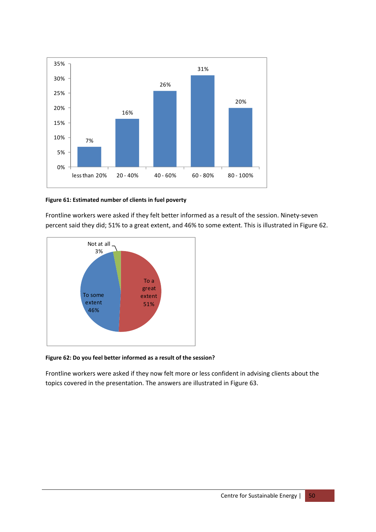![](_page_50_Figure_0.jpeg)

#### **Figure 61: Estimated number of clients in fuel poverty**

Frontline workers were asked if they felt better informed as a result of the session. Ninety-seven percent said they did; 51% to a great extent, and 46% to some extent. This is illustrated in Figure 62.

![](_page_50_Figure_3.jpeg)

#### **Figure 62: Do you feel better informed as a result of the session?**

Frontline workers were asked if they now felt more or less confident in advising clients about the topics covered in the presentation. The answers are illustrated in Figure 63.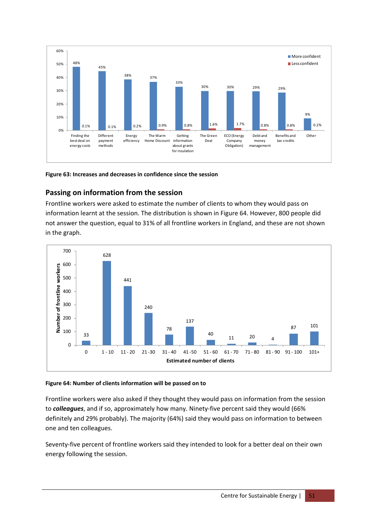![](_page_51_Figure_0.jpeg)

**Figure 63: Increases and decreases in confidence since the session**

# **Passing on information from the session**

Frontline workers were asked to estimate the number of clients to whom they would pass on information learnt at the session. The distribution is shown in Figure 64. However, 800 people did not answer the question, equal to 31% of all frontline workers in England, and these are not shown in the graph.

![](_page_51_Figure_4.jpeg)

#### **Figure 64: Number of clients information will be passed on to**

Frontline workers were also asked if they thought they would pass on information from the session to *colleagues*, and if so, approximately how many. Ninety‐five percent said they would (66% definitely and 29% probably). The majority (64%) said they would pass on information to between one and ten colleagues.

Seventy-five percent of frontline workers said they intended to look for a better deal on their own energy following the session.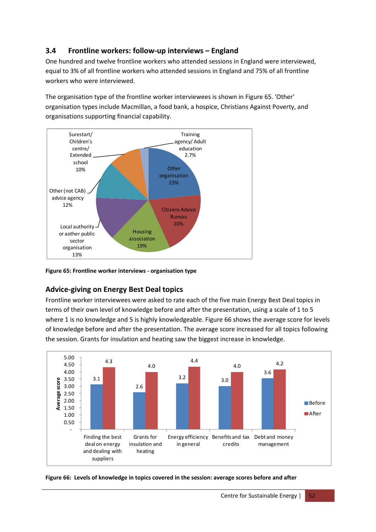# **3.4 Frontline workers: follow‐up interviews – England**

One hundred and twelve frontline workers who attended sessions in England were interviewed, equal to 3% of all frontline workers who attended sessions in England and 75% of all frontline workers who were interviewed.

The organisation type of the frontline worker interviewees is shown in Figure 65. 'Other' organisation types include Macmillan, a food bank, a hospice, Christians Against Poverty, and organisations supporting financial capability.

![](_page_52_Figure_3.jpeg)

**Figure 65: Frontline worker interviews ‐ organisation type**

#### **Advice‐giving on Energy Best Deal topics**

Frontline worker interviewees were asked to rate each of the five main Energy Best Deal topics in terms of their own level of knowledge before and after the presentation, using a scale of 1 to 5 where 1 is no knowledge and 5 is highly knowledgeable. Figure 66 shows the average score for levels of knowledge before and after the presentation. The average score increased for all topics following the session. Grants for insulation and heating saw the biggest increase in knowledge.

![](_page_52_Figure_7.jpeg)

![](_page_52_Figure_8.jpeg)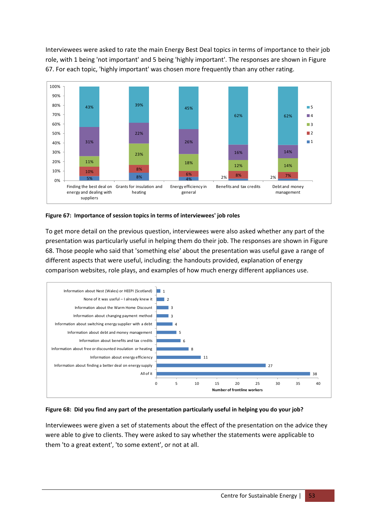Interviewees were asked to rate the main Energy Best Deal topics in terms of importance to their job role, with 1 being 'not important' and 5 being 'highly important'. The responses are shown in Figure 67. For each topic, 'highly important' was chosen more frequently than any other rating.

![](_page_53_Figure_1.jpeg)

**Figure 67: Importance of session topics in terms of interviewees' job roles**

To get more detail on the previous question, interviewees were also asked whether any part of the presentation was particularly useful in helping them do their job. The responses are shown in Figure 68. Those people who said that 'something else' about the presentation was useful gave a range of different aspects that were useful, including: the handouts provided, explanation of energy comparison websites, role plays, and examples of how much energy different appliances use.

![](_page_53_Figure_4.jpeg)

#### Figure 68: Did you find any part of the presentation particularly useful in helping you do your job?

Interviewees were given a set of statements about the effect of the presentation on the advice they were able to give to clients. They were asked to say whether the statements were applicable to them 'to a great extent', 'to some extent', or not at all.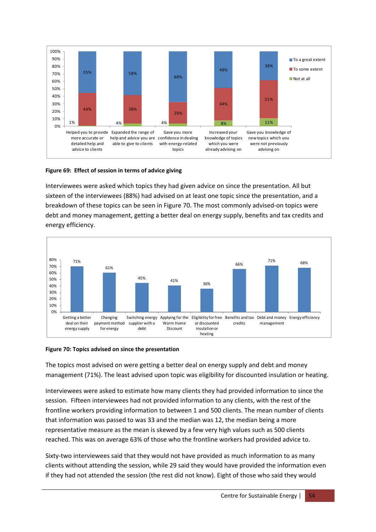![](_page_54_Figure_0.jpeg)

#### **Figure 69: Effect of session in terms of advice giving**

Interviewees were asked which topics they had given advice on since the presentation. All but sixteen of the interviewees (88%) had advised on at least one topic since the presentation, and a breakdown of these topics can be seen in Figure 70. The most commonly advised‐on topics were debt and money management, getting a better deal on energy supply, benefits and tax credits and energy efficiency.

![](_page_54_Figure_3.jpeg)

#### **Figure 70: Topics advised on since the presentation**

The topics most advised on were getting a better deal on energy supply and debt and money management (71%). The least advised upon topic was eligibility for discounted insulation or heating.

Interviewees were asked to estimate how many clients they had provided information to since the session. Fifteen interviewees had not provided information to any clients, with the rest of the frontline workers providing information to between 1 and 500 clients. The mean number of clients that information was passed to was 33 and the median was 12, the median being a more representative measure as the mean is skewed by a few very high values such as 500 clients reached. This was on average 63% of those who the frontline workers had provided advice to.

Sixty-two interviewees said that they would not have provided as much information to as many clients without attending the session, while 29 said they would have provided the information even if they had not attended the session (the rest did not know). Eight of those who said they would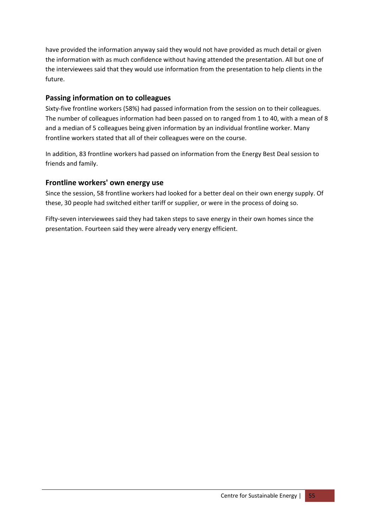have provided the information anyway said they would not have provided as much detail or given the information with as much confidence without having attended the presentation. All but one of the interviewees said that they would use information from the presentation to help clients in the future.

# **Passing information on to colleagues**

Sixty-five frontline workers (58%) had passed information from the session on to their colleagues. The number of colleagues information had been passed on to ranged from 1 to 40, with a mean of 8 and a median of 5 colleagues being given information by an individual frontline worker. Many frontline workers stated that all of their colleagues were on the course.

In addition, 83 frontline workers had passed on information from the Energy Best Deal session to friends and family.

# **Frontline workers' own energy use**

Since the session, 58 frontline workers had looked for a better deal on their own energy supply. Of these, 30 people had switched either tariff or supplier, or were in the process of doing so.

Fifty-seven interviewees said they had taken steps to save energy in their own homes since the presentation. Fourteen said they were already very energy efficient.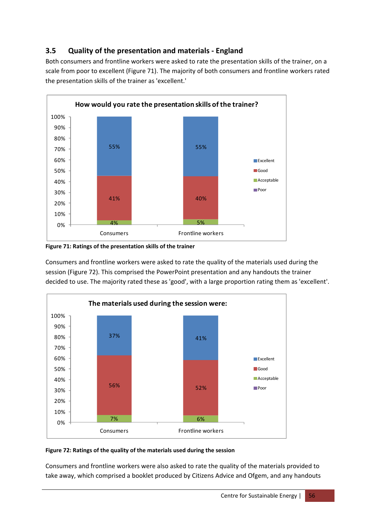# **3.5 Quality of the presentation and materials ‐ England**

Both consumers and frontline workers were asked to rate the presentation skills of the trainer, on a scale from poor to excellent (Figure 71). The majority of both consumers and frontline workers rated the presentation skills of the trainer as 'excellent.'

![](_page_56_Figure_2.jpeg)

**Figure 71: Ratings of the presentation skills of the trainer**

Consumers and frontline workers were asked to rate the quality of the materials used during the session (Figure 72). This comprised the PowerPoint presentation and any handouts the trainer decided to use. The majority rated these as 'good', with a large proportion rating them as 'excellent'.

![](_page_56_Figure_5.jpeg)

#### **Figure 72: Ratings of the quality of the materials used during the session**

Consumers and frontline workers were also asked to rate the quality of the materials provided to take away, which comprised a booklet produced by Citizens Advice and Ofgem, and any handouts